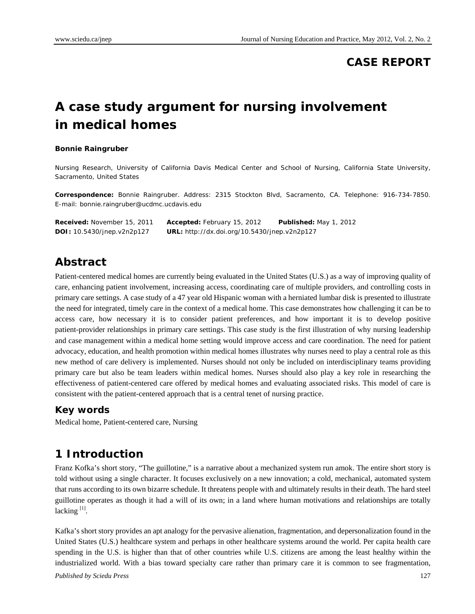## **CASE REPORT**

# **A case study argument for nursing involvement in medical homes**

#### **Bonnie Raingruber**

Nursing Research, University of California Davis Medical Center and School of Nursing, California State University, Sacramento, United States

**Correspondence:** Bonnie Raingruber. Address: 2315 Stockton Blvd, Sacramento, CA. Telephone: 916-734-7850. E-mail: bonnie.raingruber@ucdmc.ucdavis.edu

| <b>Received:</b> November 15, 2011 | <b>Accepted:</b> February 15, 2012                  | <b>Published: May 1, 2012</b> |
|------------------------------------|-----------------------------------------------------|-------------------------------|
| <b>DOI:</b> 10.5430/jnep.v2n2p127  | <b>URL:</b> http://dx.doi.org/10.5430/jnep.v2n2p127 |                               |

#### **Abstract**

Patient-centered medical homes are currently being evaluated in the United States (U.S.) as a way of improving quality of care, enhancing patient involvement, increasing access, coordinating care of multiple providers, and controlling costs in primary care settings. A case study of a 47 year old Hispanic woman with a herniated lumbar disk is presented to illustrate the need for integrated, timely care in the context of a medical home. This case demonstrates how challenging it can be to access care, how necessary it is to consider patient preferences, and how important it is to develop positive patient-provider relationships in primary care settings. This case study is the first illustration of why nursing leadership and case management within a medical home setting would improve access and care coordination. The need for patient advocacy, education, and health promotion within medical homes illustrates why nurses need to play a central role as this new method of care delivery is implemented. Nurses should not only be included on interdisciplinary teams providing primary care but also be team leaders within medical homes. Nurses should also play a key role in researching the effectiveness of patient-centered care offered by medical homes and evaluating associated risks. This model of care is consistent with the patient-centered approach that is a central tenet of nursing practice.

#### **Key words**

Medical home, Patient-centered care, Nursing

## **1 Introduction**

Franz Kofka's short story, "The guillotine," is a narrative about a mechanized system run amok. The entire short story is told without using a single character. It focuses exclusively on a new innovation; a cold, mechanical, automated system that runs according to its own bizarre schedule. It threatens people with and ultimately results in their death. The hard steel guillotine operates as though it had a will of its own; in a land where human motivations and relationships are totally lacking  $[1]$ .

*Published by Sciedu Press* 127 Kafka's short story provides an apt analogy for the pervasive alienation, fragmentation, and depersonalization found in the United States (U.S.) healthcare system and perhaps in other healthcare systems around the world. Per capita health care spending in the U.S. is higher than that of other countries while U.S. citizens are among the least healthy within the industrialized world. With a bias toward specialty care rather than primary care it is common to see fragmentation,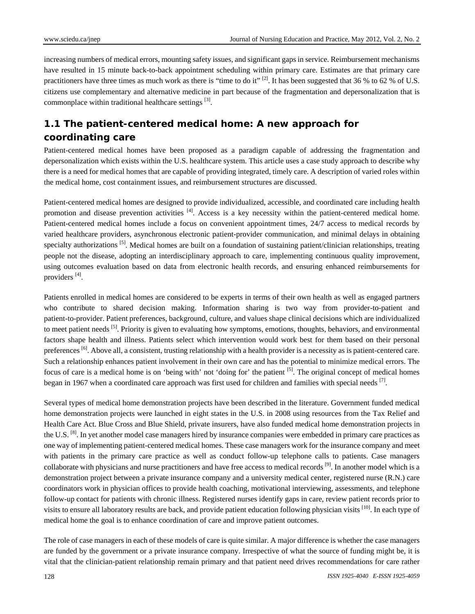increasing numbers of medical errors, mounting safety issues, and significant gaps in service. Reimbursement mechanisms have resulted in 15 minute back-to-back appointment scheduling within primary care. Estimates are that primary care practitioners have three times as much work as there is "time to do it"  $[2]$ . It has been suggested that 36 % to 62 % of U.S. citizens use complementary and alternative medicine in part because of the fragmentation and depersonalization that is commonplace within traditional healthcare settings  $[3]$ .

# **1.1 The patient-centered medical home: A new approach for coordinating care**

Patient-centered medical homes have been proposed as a paradigm capable of addressing the fragmentation and depersonalization which exists within the U.S. healthcare system. This article uses a case study approach to describe why there is a need for medical homes that are capable of providing integrated, timely care. A description of varied roles within the medical home, cost containment issues, and reimbursement structures are discussed.

Patient-centered medical homes are designed to provide individualized, accessible, and coordinated care including health promotion and disease prevention activities <sup>[4]</sup>. Access is a key necessity within the patient-centered medical home. Patient-centered medical homes include a focus on convenient appointment times, 24/7 access to medical records by varied healthcare providers, asynchronous electronic patient-provider communication, and minimal delays in obtaining specialty authorizations  $\left[5\right]$ . Medical homes are built on a foundation of sustaining patient/clinician relationships, treating people not the disease, adopting an interdisciplinary approach to care, implementing continuous quality improvement, using outcomes evaluation based on data from electronic health records, and ensuring enhanced reimbursements for providers [4].

Patients enrolled in medical homes are considered to be experts in terms of their own health as well as engaged partners who contribute to shared decision making. Information sharing is two way from provider-to-patient and patient-to-provider. Patient preferences, background, culture, and values shape clinical decisions which are individualized to meet patient needs <sup>[5]</sup>. Priority is given to evaluating how symptoms, emotions, thoughts, behaviors, and environmental factors shape health and illness. Patients select which intervention would work best for them based on their personal preferences <sup>[6]</sup>. Above all, a consistent, trusting relationship with a health provider is a necessity as is patient-centered care. Such a relationship enhances patient involvement in their own care and has the potential to minimize medical errors. The focus of care is a medical home is on 'being with' not 'doing for' the patient [5]. The original concept of medical homes began in 1967 when a coordinated care approach was first used for children and families with special needs  $\frac{7}{1}$ .

Several types of medical home demonstration projects have been described in the literature. Government funded medical home demonstration projects were launched in eight states in the U.S. in 2008 using resources from the Tax Relief and Health Care Act. Blue Cross and Blue Shield, private insurers, have also funded medical home demonstration projects in the U.S. <sup>[8]</sup>. In yet another model case managers hired by insurance companies were embedded in primary care practices as one way of implementing patient-centered medical homes. These case managers work for the insurance company and meet with patients in the primary care practice as well as conduct follow-up telephone calls to patients. Case managers collaborate with physicians and nurse practitioners and have free access to medical records  $[9]$ . In another model which is a demonstration project between a private insurance company and a university medical center, registered nurse (R.N.) care coordinators work in physician offices to provide health coaching, motivational interviewing, assessments, and telephone follow-up contact for patients with chronic illness. Registered nurses identify gaps in care, review patient records prior to visits to ensure all laboratory results are back, and provide patient education following physician visits [10]. In each type of medical home the goal is to enhance coordination of care and improve patient outcomes.

The role of case managers in each of these models of care is quite similar. A major difference is whether the case managers are funded by the government or a private insurance company. Irrespective of what the source of funding might be, it is vital that the clinician-patient relationship remain primary and that patient need drives recommendations for care rather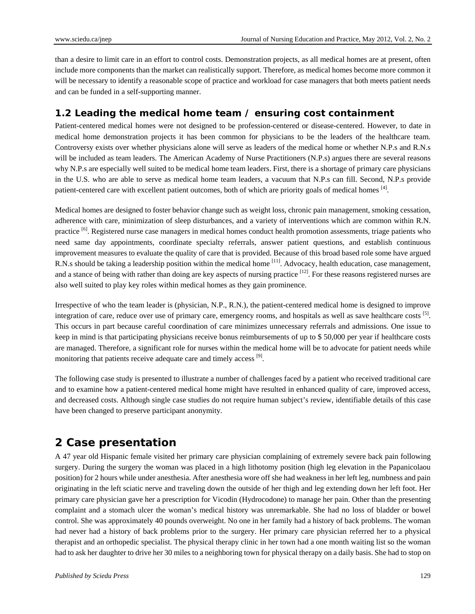than a desire to limit care in an effort to control costs. Demonstration projects, as all medical homes are at present, often include more components than the market can realistically support. Therefore, as medical homes become more common it will be necessary to identify a reasonable scope of practice and workload for case managers that both meets patient needs and can be funded in a self-supporting manner.

### **1.2 Leading the medical home team / ensuring cost containment**

Patient-centered medical homes were not designed to be profession-centered or disease-centered. However, to date in medical home demonstration projects it has been common for physicians to be the leaders of the healthcare team. Controversy exists over whether physicians alone will serve as leaders of the medical home or whether N.P.s and R.N.s will be included as team leaders. The American Academy of Nurse Practitioners (N.P.s) argues there are several reasons why N.P.s are especially well suited to be medical home team leaders. First, there is a shortage of primary care physicians in the U.S. who are able to serve as medical home team leaders, a vacuum that N.P.s can fill. Second, N.P.s provide patient-centered care with excellent patient outcomes, both of which are priority goals of medical homes [4].

Medical homes are designed to foster behavior change such as weight loss, chronic pain management, smoking cessation, adherence with care, minimization of sleep disturbances, and a variety of interventions which are common within R.N. practice <sup>[6]</sup>. Registered nurse case managers in medical homes conduct health promotion assessments, triage patients who need same day appointments, coordinate specialty referrals, answer patient questions, and establish continuous improvement measures to evaluate the quality of care that is provided. Because of this broad based role some have argued R.N.s should be taking a leadership position within the medical home <sup>[11]</sup>. Advocacy, health education, case management, and a stance of being with rather than doing are key aspects of nursing practice <sup>[12]</sup>. For these reasons registered nurses are also well suited to play key roles within medical homes as they gain prominence.

Irrespective of who the team leader is (physician, N.P., R.N.), the patient-centered medical home is designed to improve integration of care, reduce over use of primary care, emergency rooms, and hospitals as well as save healthcare costs [5]. This occurs in part because careful coordination of care minimizes unnecessary referrals and admissions. One issue to keep in mind is that participating physicians receive bonus reimbursements of up to \$ 50,000 per year if healthcare costs are managed. Therefore, a significant role for nurses within the medical home will be to advocate for patient needs while monitoring that patients receive adequate care and timely access [9].

The following case study is presented to illustrate a number of challenges faced by a patient who received traditional care and to examine how a patient-centered medical home might have resulted in enhanced quality of care, improved access, and decreased costs. Although single case studies do not require human subject's review, identifiable details of this case have been changed to preserve participant anonymity.

## **2 Case presentation**

A 47 year old Hispanic female visited her primary care physician complaining of extremely severe back pain following surgery. During the surgery the woman was placed in a high lithotomy position (high leg elevation in the Papanicolaou position) for 2 hours while under anesthesia. After anesthesia wore off she had weakness in her left leg, numbness and pain originating in the left sciatic nerve and traveling down the outside of her thigh and leg extending down her left foot. Her primary care physician gave her a prescription for Vicodin (Hydrocodone) to manage her pain. Other than the presenting complaint and a stomach ulcer the woman's medical history was unremarkable. She had no loss of bladder or bowel control. She was approximately 40 pounds overweight. No one in her family had a history of back problems. The woman had never had a history of back problems prior to the surgery. Her primary care physician referred her to a physical therapist and an orthopedic specialist. The physical therapy clinic in her town had a one month waiting list so the woman had to ask her daughter to drive her 30 miles to a neighboring town for physical therapy on a daily basis. She had to stop on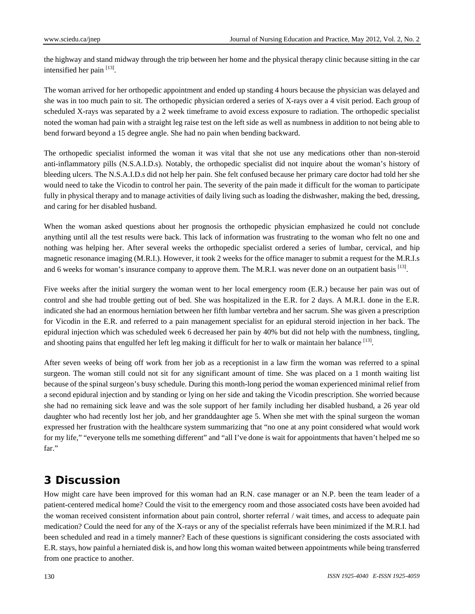the highway and stand midway through the trip between her home and the physical therapy clinic because sitting in the car intensified her pain  $^{[13]}$ .

The woman arrived for her orthopedic appointment and ended up standing 4 hours because the physician was delayed and she was in too much pain to sit. The orthopedic physician ordered a series of X-rays over a 4 visit period. Each group of scheduled X-rays was separated by a 2 week timeframe to avoid excess exposure to radiation. The orthopedic specialist noted the woman had pain with a straight leg raise test on the left side as well as numbness in addition to not being able to bend forward beyond a 15 degree angle. She had no pain when bending backward.

The orthopedic specialist informed the woman it was vital that she not use any medications other than non-steroid anti-inflammatory pills (N.S.A.I.D.s). Notably, the orthopedic specialist did not inquire about the woman's history of bleeding ulcers. The N.S.A.I.D.s did not help her pain. She felt confused because her primary care doctor had told her she would need to take the Vicodin to control her pain. The severity of the pain made it difficult for the woman to participate fully in physical therapy and to manage activities of daily living such as loading the dishwasher, making the bed, dressing, and caring for her disabled husband.

When the woman asked questions about her prognosis the orthopedic physician emphasized he could not conclude anything until all the test results were back. This lack of information was frustrating to the woman who felt no one and nothing was helping her. After several weeks the orthopedic specialist ordered a series of lumbar, cervical, and hip magnetic resonance imaging (M.R.I.). However, it took 2 weeks for the office manager to submit a request for the M.R.I.s and 6 weeks for woman's insurance company to approve them. The M.R.I. was never done on an outpatient basis  $[13]$ .

Five weeks after the initial surgery the woman went to her local emergency room (E.R.) because her pain was out of control and she had trouble getting out of bed. She was hospitalized in the E.R. for 2 days. A M.R.I. done in the E.R. indicated she had an enormous herniation between her fifth lumbar vertebra and her sacrum. She was given a prescription for Vicodin in the E.R. and referred to a pain management specialist for an epidural steroid injection in her back. The epidural injection which was scheduled week 6 decreased her pain by 40% but did not help with the numbness, tingling, and shooting pains that engulfed her left leg making it difficult for her to walk or maintain her balance <sup>[13]</sup>.

After seven weeks of being off work from her job as a receptionist in a law firm the woman was referred to a spinal surgeon. The woman still could not sit for any significant amount of time. She was placed on a 1 month waiting list because of the spinal surgeon's busy schedule. During this month-long period the woman experienced minimal relief from a second epidural injection and by standing or lying on her side and taking the Vicodin prescription. She worried because she had no remaining sick leave and was the sole support of her family including her disabled husband, a 26 year old daughter who had recently lost her job, and her granddaughter age 5. When she met with the spinal surgeon the woman expressed her frustration with the healthcare system summarizing that "no one at any point considered what would work for my life," "everyone tells me something different" and "all I've done is wait for appointments that haven't helped me so far."

## **3 Discussion**

How might care have been improved for this woman had an R.N. case manager or an N.P. been the team leader of a patient-centered medical home? Could the visit to the emergency room and those associated costs have been avoided had the woman received consistent information about pain control, shorter referral / wait times, and access to adequate pain medication? Could the need for any of the X-rays or any of the specialist referrals have been minimized if the M.R.I. had been scheduled and read in a timely manner? Each of these questions is significant considering the costs associated with E.R. stays, how painful a herniated disk is, and how long this woman waited between appointments while being transferred from one practice to another.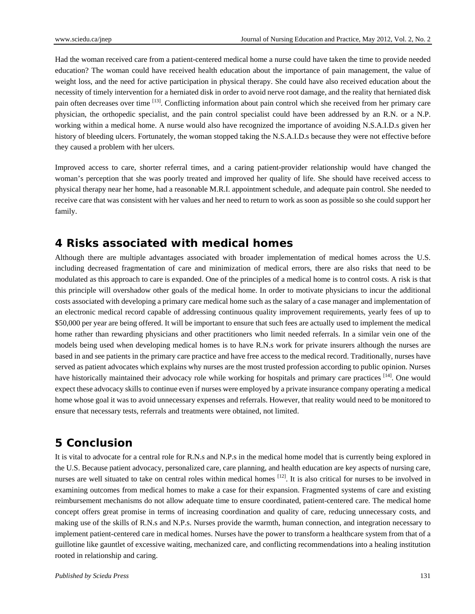Had the woman received care from a patient-centered medical home a nurse could have taken the time to provide needed education? The woman could have received health education about the importance of pain management, the value of weight loss, and the need for active participation in physical therapy. She could have also received education about the necessity of timely intervention for a herniated disk in order to avoid nerve root damage, and the reality that herniated disk pain often decreases over time [13]. Conflicting information about pain control which she received from her primary care physician, the orthopedic specialist, and the pain control specialist could have been addressed by an R.N. or a N.P. working within a medical home. A nurse would also have recognized the importance of avoiding N.S.A.I.D.s given her history of bleeding ulcers. Fortunately, the woman stopped taking the N.S.A.I.D.s because they were not effective before they caused a problem with her ulcers.

Improved access to care, shorter referral times, and a caring patient-provider relationship would have changed the woman's perception that she was poorly treated and improved her quality of life. She should have received access to physical therapy near her home, had a reasonable M.R.I. appointment schedule, and adequate pain control. She needed to receive care that was consistent with her values and her need to return to work as soon as possible so she could support her family.

## **4 Risks associated with medical homes**

Although there are multiple advantages associated with broader implementation of medical homes across the U.S. including decreased fragmentation of care and minimization of medical errors, there are also risks that need to be modulated as this approach to care is expanded. One of the principles of a medical home is to control costs. A risk is that this principle will overshadow other goals of the medical home. In order to motivate physicians to incur the additional costs associated with developing a primary care medical home such as the salary of a case manager and implementation of an electronic medical record capable of addressing continuous quality improvement requirements, yearly fees of up to \$50,000 per year are being offered. It will be important to ensure that such fees are actually used to implement the medical home rather than rewarding physicians and other practitioners who limit needed referrals. In a similar vein one of the models being used when developing medical homes is to have R.N.s work for private insurers although the nurses are based in and see patients in the primary care practice and have free access to the medical record. Traditionally, nurses have served as patient advocates which explains why nurses are the most trusted profession according to public opinion. Nurses have historically maintained their advocacy role while working for hospitals and primary care practices [14]. One would expect these advocacy skills to continue even if nurses were employed by a private insurance company operating a medical home whose goal it was to avoid unnecessary expenses and referrals. However, that reality would need to be monitored to ensure that necessary tests, referrals and treatments were obtained, not limited.

## **5 Conclusion**

It is vital to advocate for a central role for R.N.s and N.P.s in the medical home model that is currently being explored in the U.S. Because patient advocacy, personalized care, care planning, and health education are key aspects of nursing care, nurses are well situated to take on central roles within medical homes  $^{[12]}$ . It is also critical for nurses to be involved in examining outcomes from medical homes to make a case for their expansion. Fragmented systems of care and existing reimbursement mechanisms do not allow adequate time to ensure coordinated, patient-centered care. The medical home concept offers great promise in terms of increasing coordination and quality of care, reducing unnecessary costs, and making use of the skills of R.N.s and N.P.s. Nurses provide the warmth, human connection, and integration necessary to implement patient-centered care in medical homes. Nurses have the power to transform a healthcare system from that of a guillotine like gauntlet of excessive waiting, mechanized care, and conflicting recommendations into a healing institution rooted in relationship and caring.